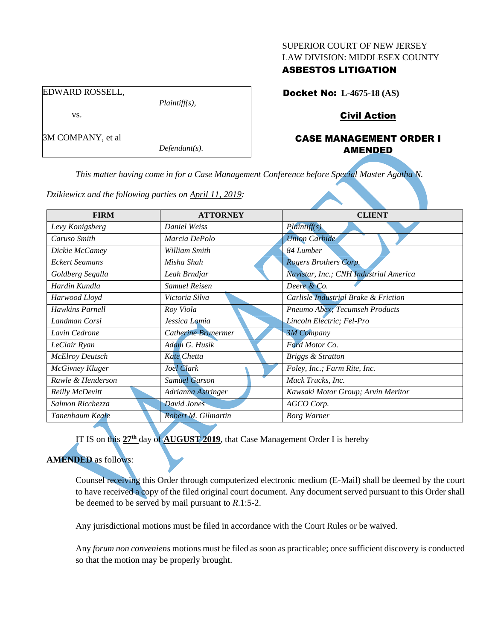#### SUPERIOR COURT OF NEW JERSEY LAW DIVISION: MIDDLESEX COUNTY

# ASBESTOS LITIGATION

EDWARD ROSSELL, *Plaintiff(s),* vs. 3M COMPANY, et al

Docket No: **L-4675-18 (AS)**

Civil Action

# CASE MANAGEMENT ORDER I AMENDED

*This matter having come in for a Case Management Conference before Special Master Agatha N.* 

| <b>FIRM</b>            | <b>ATTORNEY</b>      | <b>CLIENT</b>                          |
|------------------------|----------------------|----------------------------------------|
| Levy Konigsberg        | <b>Daniel Weiss</b>  | Plaintiff(s)                           |
| Caruso Smith           | Marcia DePolo        | <b>Union Carbide</b>                   |
| Dickie McCamey         | William Smith        | 84 Lumber                              |
| <b>Eckert Seamans</b>  | Misha Shah           | Rogers Brothers Corp.                  |
| Goldberg Segalla       | Leah Brndjar         | Navistar, Inc.; CNH Industrial America |
| Hardin Kundla          | <b>Samuel Reisen</b> | Deere & Co.                            |
| Harwood Lloyd          | Victoria Silva       | Carlisle Industrial Brake & Friction   |
| <b>Hawkins Parnell</b> | Roy Viola            | Pneumo Abex; Tecumseh Products         |
| Landman Corsi          | Jessica Lomia        | Lincoln Electric; Fel-Pro              |
| Lavin Cedrone          | Catherine Brunermer  | <b>3M Company</b>                      |
| LeClair Ryan           | Adam G. Husik        | Ford Motor Co.                         |
| <b>McElroy Deutsch</b> | Kate Chetta          | <b>Briggs &amp; Stratton</b>           |
| McGivney Kluger        | Joel Clark           | Foley, Inc.; Farm Rite, Inc.           |
| Rawle & Henderson      | <b>Samuel Garson</b> | Mack Trucks, Inc.                      |
| Reilly McDevitt        | Adrianna Astringer   | Kawsaki Motor Group; Arvin Meritor     |
| Salmon Ricchezza       | <b>David Jones</b>   | AGCO Corp.                             |
| Tanenbaum Keale        | Robert M. Gilmartin  | <b>Borg Warner</b>                     |

*Dzikiewicz and the following parties on April 11, 2019:*

*Defendant(s).*

IT IS on this **27th** day of **AUGUST 2019**, that Case Management Order I is hereby

**AMENDED** as follows:

Counsel receiving this Order through computerized electronic medium (E-Mail) shall be deemed by the court to have received a copy of the filed original court document. Any document served pursuant to this Order shall be deemed to be served by mail pursuant to *R*.1:5-2.

Any jurisdictional motions must be filed in accordance with the Court Rules or be waived.

Any *forum non conveniens* motions must be filed as soon as practicable; once sufficient discovery is conducted so that the motion may be properly brought.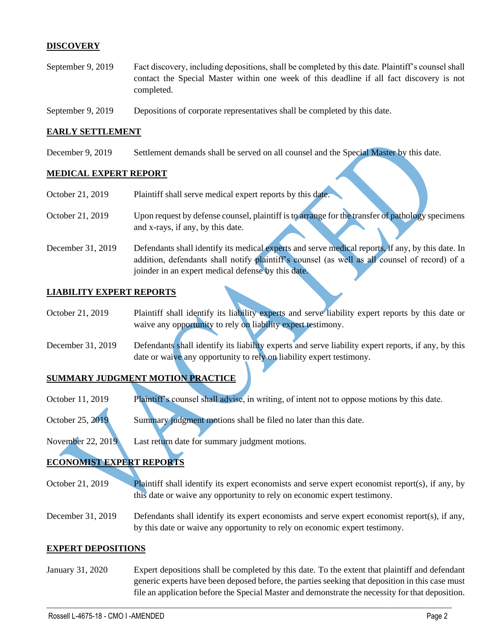# **DISCOVERY**

- September 9, 2019 Fact discovery, including depositions, shall be completed by this date. Plaintiff's counsel shall contact the Special Master within one week of this deadline if all fact discovery is not completed.
- September 9, 2019 Depositions of corporate representatives shall be completed by this date.

joinder in an expert medical defense by this date.

#### **EARLY SETTLEMENT**

December 9, 2019 Settlement demands shall be served on all counsel and the Special Master by this date.

### **MEDICAL EXPERT REPORT**

| October 21, 2019  | Plaintiff shall serve medical expert reports by this date.                                        |
|-------------------|---------------------------------------------------------------------------------------------------|
| October 21, 2019  | Upon request by defense counsel, plaintiff is to arrange for the transfer of pathology specimens  |
|                   | and x-rays, if any, by this date.                                                                 |
| December 31, 2019 | Defendants shall identify its medical experts and serve medical reports, if any, by this date. In |
|                   | addition, defendants shall notify plaintiff's counsel (as well as all counsel of record) of a     |

#### **LIABILITY EXPERT REPORTS**

- October 21, 2019 Plaintiff shall identify its liability experts and serve liability expert reports by this date or waive any opportunity to rely on liability expert testimony.
- December 31, 2019 Defendants shall identify its liability experts and serve liability expert reports, if any, by this date or waive any opportunity to rely on liability expert testimony.

### **SUMMARY JUDGMENT MOTION PRACTICE**

- October 11, 2019 Plaintiff's counsel shall advise, in writing, of intent not to oppose motions by this date.
- October 25, 2019 Summary judgment motions shall be filed no later than this date.
- November 22, 2019 Last return date for summary judgment motions.

# **ECONOMIST EXPERT REPORTS**

- October 21, 2019 Plaintiff shall identify its expert economists and serve expert economist report(s), if any, by this date or waive any opportunity to rely on economic expert testimony.
- December 31, 2019 Defendants shall identify its expert economists and serve expert economist report(s), if any, by this date or waive any opportunity to rely on economic expert testimony.

#### **EXPERT DEPOSITIONS**

January 31, 2020 Expert depositions shall be completed by this date. To the extent that plaintiff and defendant generic experts have been deposed before, the parties seeking that deposition in this case must file an application before the Special Master and demonstrate the necessity for that deposition.

 $\_$  , and the set of the set of the set of the set of the set of the set of the set of the set of the set of the set of the set of the set of the set of the set of the set of the set of the set of the set of the set of th